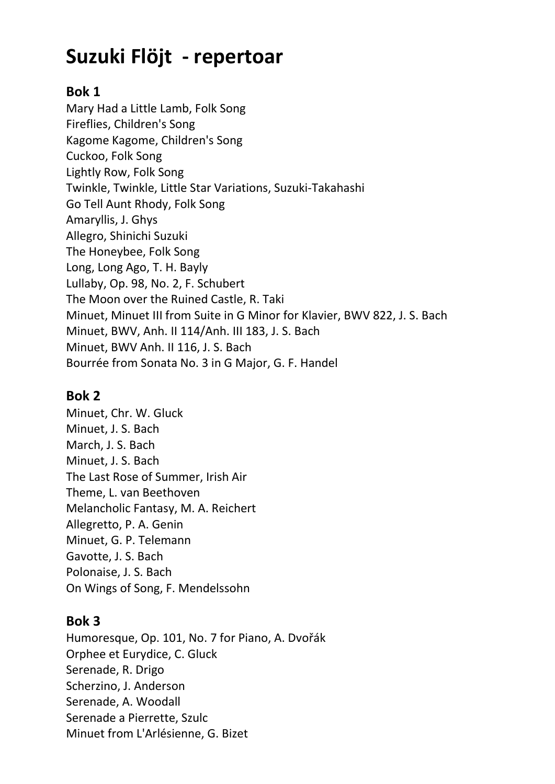# Suzuki Flöjt - repertoar

#### Bok 1

Mary Had a Little Lamb, Folk Song Fireflies, Children's Song Kagome Kagome, Children's Song Cuckoo, Folk Song Lightly Row, Folk Song Twinkle, Twinkle, Little Star Variations, Suzuki-Takahashi Go Tell Aunt Rhody, Folk Song Amaryllis, J. Ghys Allegro, Shinichi Suzuki The Honeybee, Folk Song Long, Long Ago, T. H. Bayly Lullaby, Op. 98, No. 2, F. Schubert The Moon over the Ruined Castle, R. Taki Minuet, Minuet III from Suite in G Minor for Klavier, BWV 822, J. S. Bach Minuet, BWV, Anh. II 114/Anh. III 183, J. S. Bach Minuet, BWV Anh. II 116, J. S. Bach Bourrée from Sonata No. 3 in G Major, G. F. Handel

# Bok 2

Minuet, Chr. W. Gluck Minuet, J. S. Bach March, J. S. Bach Minuet, J. S. Bach The Last Rose of Summer, Irish Air Theme, L. van Beethoven Melancholic Fantasy, M. A. Reichert Allegretto, P. A. Genin Minuet, G. P. Telemann Gavotte, J. S. Bach Polonaise, J. S. Bach On Wings of Song, F. Mendelssohn

# Bok 3

Humoresque, Op. 101, No. 7 for Piano, A. Dvořák Orphee et Eurydice, C. Gluck Serenade, R. Drigo Scherzino, J. Anderson Serenade, A. Woodall Serenade a Pierrette, Szulc Minuet from L'Arlésienne, G. Bizet